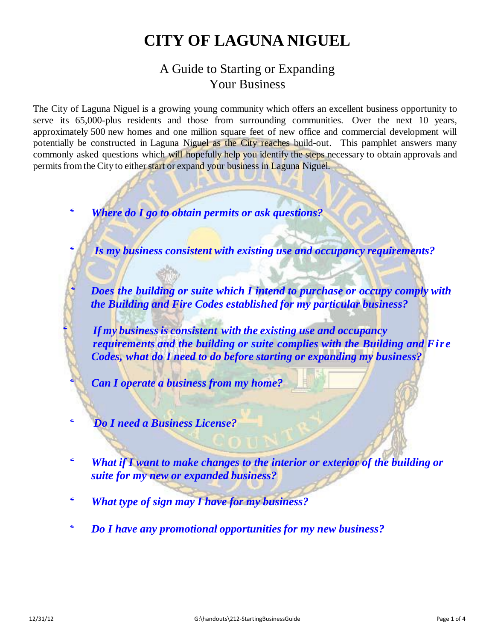# **CITY OF LAGUNA NIGUEL**

# A Guide to Starting or Expanding Your Business

The City of Laguna Niguel is a growing young community which offers an excellent business opportunity to serve its 65,000-plus residents and those from surrounding communities. Over the next 10 years, approximately 500 new homes and one million square feet of new office and commercial development will potentially be constructed in Laguna Niguel as the City reaches build-out. This pamphlet answers many commonly asked questions which will hopefully help you identify the steps necessary to obtain approvals and permits from the City to either start or expand your business in Laguna Niguel.

' *Where do <sup>I</sup> go to obtain permits or ask questions?*

' *Is my business consistent with existing use and occupancy requirements?*

' *Does the building or suite which <sup>I</sup> intend to purchase or occupy comply with the Building and Fire Codes established for my particular business?*

' *If my business is consistent with the existing use and occupancy requirements and the building or suite complies with the Building and Fire Codes, what do I need to do before starting or expanding my business?*

' *Can <sup>I</sup> operate <sup>a</sup> business from my home?*

' *Do <sup>I</sup> need <sup>a</sup> Business License?*

- ' *What if <sup>I</sup> want to make changes to the interior or exterior of the building or suite for my new or expanded business?*
- ' *What type of sign may <sup>I</sup> have for my business?*
- ' *Do <sup>I</sup> have any promotional opportunities for my new business?*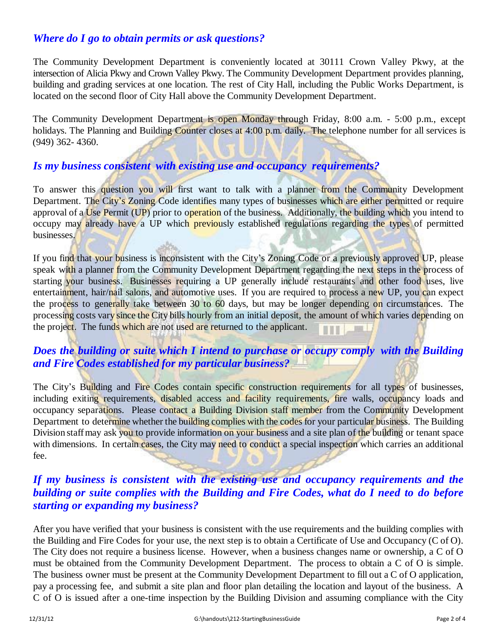#### *Where do I go to obtain permits or ask questions?*

The Community Development Department is conveniently located at 30111 Crown Valley Pkwy, at the intersection of Alicia Pkwy and Crown Valley Pkwy. The Community Development Department provides planning, building and grading services at one location. The rest of City Hall, including the Public Works Department, is located on the second floor of City Hall above the Community Development Department.

The Community Development Department is open Monday through Friday, 8:00 a.m. - 5:00 p.m., except holidays. The Planning and Building Counter closes at 4:00 p.m. daily. The telephone number for all services is (949) 362- 4360.

#### *Is my business consistent with existing use and occupancy requirements?*

To answer this question you will first want to talk with a planner from the Community Development Department. The City's Zoning Code identifies many types of businesses which are either permitted or require approval of a Use Permit (UP) prior to operation of the business. Additionally, the building which you intend to occupy may already have a UP which previously established regulations regarding the types of permitted businesses.

If you find that your business is inconsistent with the City's Zoning Code or a previously approved UP, please speak with a planner from the Community Development Department regarding the next steps in the process of starting your business. Businesses requiring a UP generally include restaurants and other food uses, live entertainment, hair/nail salons, and automotive uses. If you are required to process a new UP, you can expect the process to generally take between 30 to 60 days, but may be longer depending on circumstances. The processing costs vary since the City bills hourly from an initial deposit, the amount of which varies depending on the project. The funds which are not used are returned to the applicant.

## *Does the building or suite which I intend to purchase or occupy comply with the Building and Fire Codes established for my particular business?*

The City's Building and Fire Codes contain specific construction requirements for all types of businesses, including exiting requirements, disabled access and facility requirements, fire walls, occupancy loads and occupancy separations. Please contact a Building Division staff member from the Community Development Department to determine whether the building complies with the codes for your particular business. The Building Division staff may ask you to provide information on your business and a site plan of the building or tenant space with dimensions. In certain cases, the City may need to conduct a special inspection which carries an additional fee.

## *If my business is consistent with the existing use and occupancy requirements and the building or suite complies with the Building and Fire Codes, what do I need to do before starting or expanding my business?*

After you have verified that your business is consistent with the use requirements and the building complies with the Building and Fire Codes for your use, the next step is to obtain a Certificate of Use and Occupancy (C of O). The City does not require a business license. However, when a business changes name or ownership, a C of O must be obtained from the Community Development Department. The process to obtain a C of O is simple. The business owner must be present at the Community Development Department to fill out a C of O application, pay a processing fee, and submit a site plan and floor plan detailing the location and layout of the business. A C of O is issued after a one-time inspection by the Building Division and assuming compliance with the City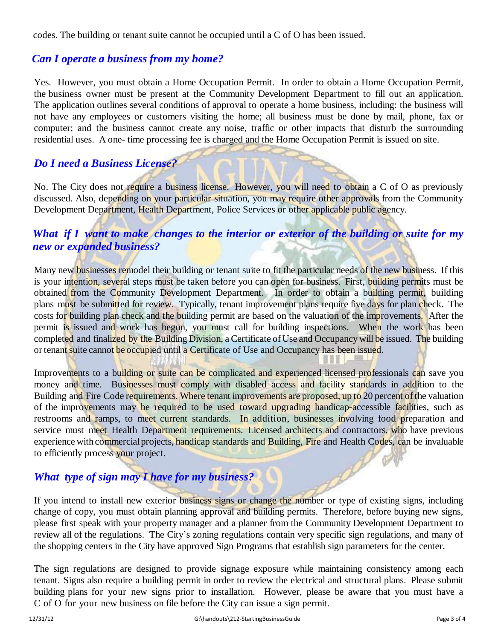codes. The building or tenant suite cannot be occupied until a C of O has been issued.

#### *Can I operate a business from my home?*

Yes. However, you must obtain a Home Occupation Permit. In order to obtain a Home Occupation Permit, the business owner must be present at the Community Development Department to fill out an application. The application outlines several conditions of approval to operate a home business, including: the business will not have any employees or customers visiting the home; all business must be done by mail, phone, fax or computer; and the business cannot create any noise, traffic or other impacts that disturb the surrounding residential uses. A one- time processing fee is charged and the Home Occupation Permit is issued on site.

# *Do I need a Business License?*

No. The City does not require a business license. However, you will need to obtain a C of O as previously discussed. Also, depending on your particular situation, you may require other approvals from the Community Development Department, Health Department, Police Services or other applicable public agency.

# *What if I want to make changes to the interior or exterior of the building or suite for my new or expanded business?*

Many new businesses remodel their building or tenant suite to fit the particular needs of the new business. If this is your intention, several steps must be taken before you can open for business. First, building permits must be obtained from the Community Development Department. In order to obtain a building permit, building plans must be submitted for review. Typically, tenant improvement plans require five days for plan check. The costs for building plan check and the building permit are based on the valuation of the improvements. After the permit is issued and work has begun, you must call for building inspections. When the work has been completed and finalized by the Building Division, a Certificate of Use and Occupancy will be issued. The building or tenant suite cannot be occupied until a Certificate of Use and Occupancy has been issued.

Improvements to a building or suite can be complicated and experienced licensed professionals can save you money and time. Businesses must comply with disabled access and facility standards in addition to the Building and Fire Code requirements. Where tenant improvements are proposed, up to 20 percent of the valuation of the improvements may be required to be used toward upgrading handicap-accessible facilities, such as restrooms and ramps, to meet current standards. In addition, businesses involving food preparation and service must meet Health Department requirements. Licensed architects and contractors, who have previous experience with commercial projects, handicap standards and Building, Fire and Health Codes, can be invaluable to efficiently process your project.

# *What type of sign may I have for my business?*

If you intend to install new exterior business signs or change the number or type of existing signs, including change of copy, you must obtain planning approval and building permits. Therefore, before buying new signs, please first speak with your property manager and a planner from the Community Development Department to review all of the regulations. The City's zoning regulations contain very specific sign regulations, and many of the shopping centers in the City have approved Sign Programs that establish sign parameters for the center.

The sign regulations are designed to provide signage exposure while maintaining consistency among each tenant. Signs also require a building permit in order to review the electrical and structural plans. Please submit building plans for your new signs prior to installation. However, please be aware that you must have a C of O for your new business on file before the City can issue a sign permit.